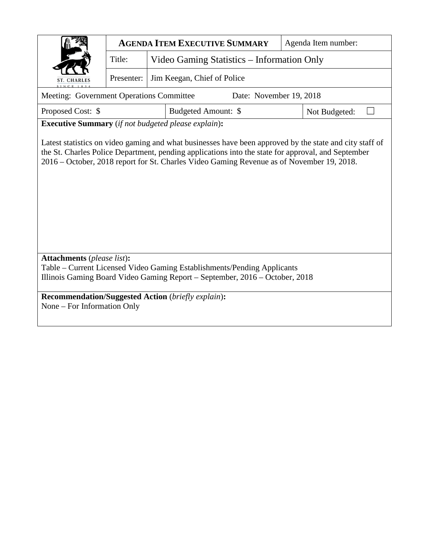|                                                                                                                                                        | <b>AGENDA ITEM EXECUTIVE SUMMARY</b> |                                            |                                                                                                                                                                                                                                                                                                            | Agenda Item number: |        |  |  |  |  |  |  |
|--------------------------------------------------------------------------------------------------------------------------------------------------------|--------------------------------------|--------------------------------------------|------------------------------------------------------------------------------------------------------------------------------------------------------------------------------------------------------------------------------------------------------------------------------------------------------------|---------------------|--------|--|--|--|--|--|--|
|                                                                                                                                                        | Title:                               | Video Gaming Statistics – Information Only |                                                                                                                                                                                                                                                                                                            |                     |        |  |  |  |  |  |  |
| <b>ST. CHARLES</b>                                                                                                                                     | Presenter:                           |                                            | Jim Keegan, Chief of Police                                                                                                                                                                                                                                                                                |                     |        |  |  |  |  |  |  |
| Meeting: Government Operations Committee<br>Date: November 19, 2018                                                                                    |                                      |                                            |                                                                                                                                                                                                                                                                                                            |                     |        |  |  |  |  |  |  |
| Proposed Cost: \$                                                                                                                                      |                                      |                                            | Budgeted Amount: \$                                                                                                                                                                                                                                                                                        | Not Budgeted:       | $\Box$ |  |  |  |  |  |  |
| <b>Executive Summary</b> (if not budgeted please explain):                                                                                             |                                      |                                            |                                                                                                                                                                                                                                                                                                            |                     |        |  |  |  |  |  |  |
|                                                                                                                                                        |                                      |                                            | Latest statistics on video gaming and what businesses have been approved by the state and city staff of<br>the St. Charles Police Department, pending applications into the state for approval, and September<br>2016 – October, 2018 report for St. Charles Video Gaming Revenue as of November 19, 2018. |                     |        |  |  |  |  |  |  |
| <b>Attachments</b> (please list):                                                                                                                      |                                      |                                            |                                                                                                                                                                                                                                                                                                            |                     |        |  |  |  |  |  |  |
| Table – Current Licensed Video Gaming Establishments/Pending Applicants<br>Illinois Gaming Board Video Gaming Report – September, 2016 – October, 2018 |                                      |                                            |                                                                                                                                                                                                                                                                                                            |                     |        |  |  |  |  |  |  |
| <b>Recommendation/Suggested Action</b> (briefly explain):                                                                                              |                                      |                                            |                                                                                                                                                                                                                                                                                                            |                     |        |  |  |  |  |  |  |

None – For Information Only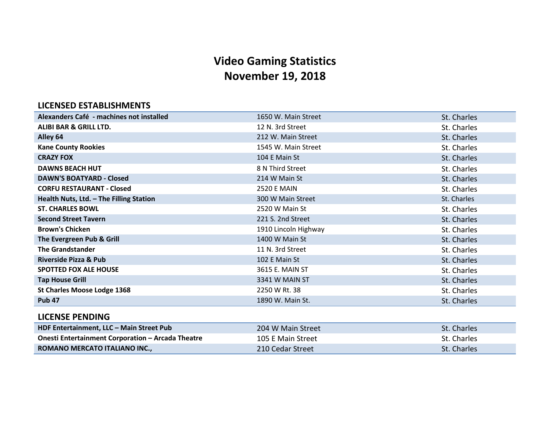# **Video Gaming Statistics November 19, 2018**

## **LICENSED ESTABLISHMENTS**

| Alexanders Café - machines not installed                 | 1650 W. Main Street  | St. Charles |
|----------------------------------------------------------|----------------------|-------------|
| ALIBI BAR & GRILL LTD.                                   | 12 N. 3rd Street     | St. Charles |
| Alley 64                                                 | 212 W. Main Street   | St. Charles |
| <b>Kane County Rookies</b>                               | 1545 W. Main Street  | St. Charles |
| <b>CRAZY FOX</b>                                         | 104 E Main St        | St. Charles |
| <b>DAWNS BEACH HUT</b>                                   | 8 N Third Street     | St. Charles |
| <b>DAWN'S BOATYARD - Closed</b>                          | 214 W Main St        | St. Charles |
| <b>CORFU RESTAURANT - Closed</b>                         | <b>2520 E MAIN</b>   | St. Charles |
| Health Nuts, Ltd. - The Filling Station                  | 300 W Main Street    | St. Charles |
| <b>ST. CHARLES BOWL</b>                                  | 2520 W Main St       | St. Charles |
| <b>Second Street Tavern</b>                              | 221 S. 2nd Street    | St. Charles |
| <b>Brown's Chicken</b>                                   | 1910 Lincoln Highway | St. Charles |
| The Evergreen Pub & Grill                                | 1400 W Main St       | St. Charles |
| <b>The Grandstander</b>                                  | 11 N. 3rd Street     | St. Charles |
| <b>Riverside Pizza &amp; Pub</b>                         | 102 E Main St        | St. Charles |
| <b>SPOTTED FOX ALE HOUSE</b>                             | 3615 E. MAIN ST      | St. Charles |
| <b>Tap House Grill</b>                                   | 3341 W MAIN ST       | St. Charles |
| <b>St Charles Moose Lodge 1368</b>                       | 2250 W Rt. 38        | St. Charles |
| <b>Pub 47</b>                                            | 1890 W. Main St.     | St. Charles |
| <b>LICENSE PENDING</b>                                   |                      |             |
| HDF Entertainment, LLC - Main Street Pub                 | 204 W Main Street    | St. Charles |
| <b>Onesti Entertainment Corporation - Arcada Theatre</b> | 105 E Main Street    | St. Charles |
| ROMANO MERCATO ITALIANO INC.,                            | 210 Cedar Street     | St. Charles |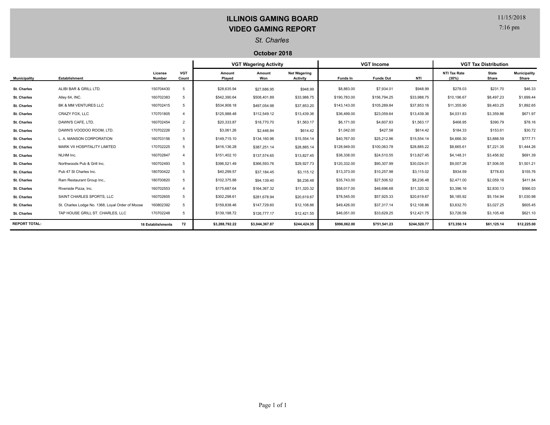## **ILLINOIS GAMING BOARD VIDEO GAMING REPORT**

7:16 pm

### *St. Charles*

#### **October 2018**

|                      |                                                  |                          |                     | <b>VGT Wagering Activity</b> |                |                                 | <b>VGT Income</b> |                  |              | <b>VGT Tax Distribution</b>  |                       |                              |
|----------------------|--------------------------------------------------|--------------------------|---------------------|------------------------------|----------------|---------------------------------|-------------------|------------------|--------------|------------------------------|-----------------------|------------------------------|
| <b>Municipality</b>  | Establishment                                    | License<br>Number        | <b>VGT</b><br>Count | Amount<br>Played             | Amount<br>Won  | <b>Net Wagering</b><br>Activity | Funds In          | <b>Funds Out</b> | NTI          | <b>NTI Tax Rate</b><br>(30%) | <b>State</b><br>Share | <b>Municipality</b><br>Share |
| <b>St. Charles</b>   | ALIBI BAR & GRILL LTD.                           | 150704430                | 5                   | \$28,635.94                  | \$27,686.95    | \$948.99                        | \$8,883.00        | \$7,934.01       | \$948.99     | \$278.03                     | \$231.70              | \$46.33                      |
| <b>St. Charles</b>   | Alley 64, INC.                                   | 160702383                | 5                   | \$542,390.64                 | \$508,401.89   | \$33,988.75                     | \$190,783.00      | \$156,794.25     | \$33,988.75  | \$10,196.67                  | \$8,497.23            | \$1,699.44                   |
| <b>St. Charles</b>   | BK & MM VENTURES LLC                             | 160702415                | 5                   | \$534,908.18                 | \$497,054.98   | \$37,853.20                     | \$143,143.00      | \$105,289.84     | \$37,853.16  | \$11,355.90                  | \$9,463.25            | \$1,892.65                   |
| St. Charles          | CRAZY FOX, LLC                                   | 170701805                | $\overline{4}$      | \$125,988.48                 | \$112,549.12   | \$13,439.36                     | \$36,499.00       | \$23,059.64      | \$13,439.36  | \$4,031.83                   | \$3,359.86            | \$671.97                     |
| <b>St. Charles</b>   | DAWN'S CAFE, LTD.                                | 160702454                | 2                   | \$20,333.87                  | \$18,770.70    | \$1,563.17                      | \$6,171.00        | \$4,607.83       | \$1,563.17   | \$468.95                     | \$390.79              | \$78.16                      |
| <b>St. Charles</b>   | DAWN'S VOODOO ROOM. LTD.                         | 170702226                | 3                   | \$3,061.26                   | \$2,446.84     | \$614.42                        | \$1,042.00        | \$427.58         | \$614.42     | \$184.33                     | \$153.61              | \$30.72                      |
| <b>St. Charles</b>   | L. A. MANSON CORPORATION                         | 160703156                | 5                   | \$149,715.10                 | \$134,160.96   | \$15,554.14                     | \$40,767.00       | \$25,212.86      | \$15,554.14  | \$4,666.30                   | \$3,888.59            | \$777.71                     |
| <b>St. Charles</b>   | MARK VII HOSPITALITY LIMITED                     | 170702225                | 5                   | \$416,136.28                 | \$387,251.14   | \$28,885.14                     | \$128,949.00      | \$100,063.78     | \$28,885.22  | \$8,665.61                   | \$7,221.35            | \$1,444.26                   |
| <b>St. Charles</b>   | NLHM Inc.                                        | 160702847                | 4                   | \$151,402.10                 | \$137,574.65   | \$13,827.45                     | \$38,338.00       | \$24,510.55      | \$13,827.45  | \$4,148.31                   | \$3,456.92            | \$691.39                     |
| <b>St. Charles</b>   | Northwoods Pub & Grill Inc.                      | 160702493                | 5                   | \$396,521.49                 | \$366,593.76   | \$29,927.73                     | \$120,332.00      | \$90,307.99      | \$30,024.01  | \$9,007.26                   | \$7,506.05            | \$1,501.21                   |
| <b>St. Charles</b>   | Pub 47 St Charles Inc.                           | 180700422                | 5                   | \$40,299.57                  | \$37,184.45    | \$3,115.12                      | \$13,373.00       | \$10,257.98      | \$3,115.02   | \$934.59                     | \$778.83              | \$155.76                     |
| <b>St. Charles</b>   | Ram Restaurant Group Inc                         | 180700820                | 5                   | \$102,375.88                 | \$94,139.40    | \$8,236.48                      | \$35,743.00       | \$27,506.52      | \$8,236.48   | \$2,471.00                   | \$2,059.16            | \$411.84                     |
| <b>St. Charles</b>   | Riverside Pizza, Inc.                            | 160702553                | $\overline{4}$      | \$175,687.64                 | \$164,367.32   | \$11,320.32                     | \$58,017.00       | \$46,696.68      | \$11,320.32  | \$3,396.16                   | \$2,830.13            | \$566.03                     |
| <b>St. Charles</b>   | SAINT CHARLES SPORTS, LLC                        | 160702605                | 5                   | \$302,298.61                 | \$281,678.94   | \$20,619.67                     | \$78,545.00       | \$57,925.33      | \$20,619.67  | \$6,185.92                   | \$5,154.94            | \$1,030.98                   |
| <b>St. Charles</b>   | St. Charles Lodge No. 1368, Loyal Order of Moose | 160802392                | 5                   | \$159,838.46                 | \$147,729.60   | \$12,108.86                     | \$49,426.00       | \$37,317.14      | \$12,108.86  | \$3,632.70                   | \$3,027.25            | \$605.45                     |
| <b>St. Charles</b>   | TAP HOUSE GRILL ST. CHARLES, LLC                 | 170702248                | 5                   | \$139,198.72                 | \$126,777.17   | \$12,421.55                     | \$46,051.00       | \$33,629.25      | \$12,421.75  | \$3,726.58                   | \$3,105.48            | \$621.10                     |
| <b>REPORT TOTAL:</b> |                                                  | <b>16 Establishments</b> | 72                  | \$3,288,792.22               | \$3,044,367.87 | \$244,424.35                    | \$996,062.00      | \$751,541.23     | \$244,520.77 | \$73,350.14                  | \$61,125.14           | \$12,225.00                  |